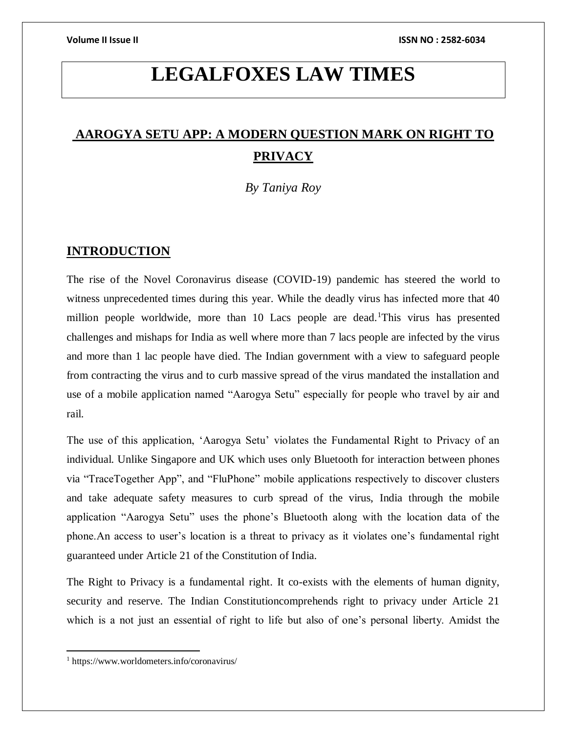# **LEGALFOXES LAW TIMES**

# **AAROGYA SETU APP: A MODERN QUESTION MARK ON RIGHT TO PRIVACY**

*By Taniya Roy*

## **INTRODUCTION**

The rise of the Novel Coronavirus disease (COVID-19) pandemic has steered the world to witness unprecedented times during this year. While the deadly virus has infected more that 40 million people worldwide, more than 10 Lacs people are dead.<sup>1</sup>This virus has presented challenges and mishaps for India as well where more than 7 lacs people are infected by the virus and more than 1 lac people have died. The Indian government with a view to safeguard people from contracting the virus and to curb massive spread of the virus mandated the installation and use of a mobile application named "Aarogya Setu" especially for people who travel by air and rail.

The use of this application, 'Aarogya Setu' violates the Fundamental Right to Privacy of an individual. Unlike Singapore and UK which uses only Bluetooth for interaction between phones via "TraceTogether App", and "FluPhone" mobile applications respectively to discover clusters and take adequate safety measures to curb spread of the virus, India through the mobile application "Aarogya Setu" uses the phone's Bluetooth along with the location data of the phone.An access to user's location is a threat to privacy as it violates one's fundamental right guaranteed under Article 21 of the Constitution of India.

The Right to Privacy is a fundamental right. It co-exists with the elements of human dignity, security and reserve. The Indian Constitutioncomprehends right to privacy under Article 21 which is a not just an essential of right to life but also of one's personal liberty. Amidst the

 $\overline{a}$ 

<sup>1</sup> https://www.worldometers.info/coronavirus/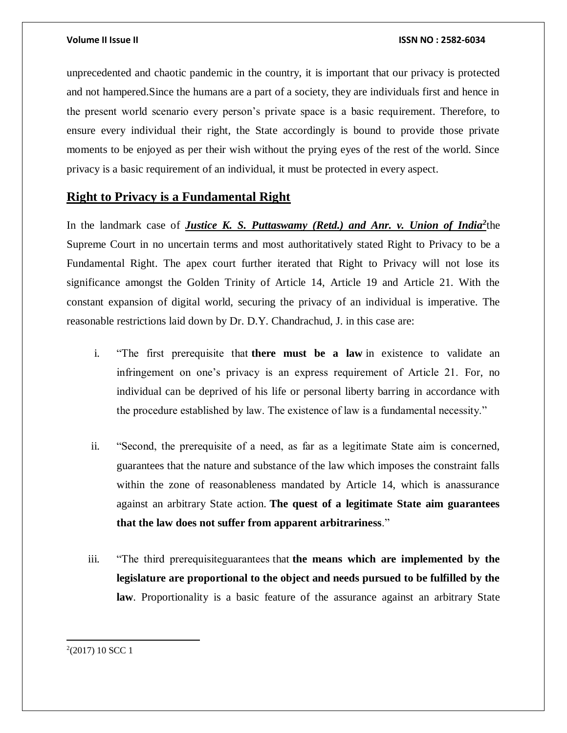unprecedented and chaotic pandemic in the country, it is important that our privacy is protected and not hampered.Since the humans are a part of a society, they are individuals first and hence in the present world scenario every person's private space is a basic requirement. Therefore, to ensure every individual their right, the State accordingly is bound to provide those private moments to be enjoyed as per their wish without the prying eyes of the rest of the world. Since privacy is a basic requirement of an individual, it must be protected in every aspect.

## **Right to Privacy is a Fundamental Right**

In the landmark case of *Justice K. S. Puttaswamy (Retd.) and Anr. v. Union of India<sup>2</sup>the* Supreme Court in no uncertain terms and most authoritatively stated Right to Privacy to be a Fundamental Right. The apex court further iterated that Right to Privacy will not lose its significance amongst the Golden Trinity of Article 14, Article 19 and Article 21. With the constant expansion of digital world, securing the privacy of an individual is imperative. The reasonable restrictions laid down by Dr. D.Y. Chandrachud, J. in this case are:

- i. "The first prerequisite that **there must be a law** in existence to validate an infringement on one's privacy is an express requirement of Article 21. For, no individual can be deprived of his life or personal liberty barring in accordance with the procedure established by law. The existence of law is a fundamental necessity."
- ii. "Second, the prerequisite of a need, as far as a legitimate State aim is concerned, guarantees that the nature and substance of the law which imposes the constraint falls within the zone of reasonableness mandated by Article 14, which is anassurance against an arbitrary State action. **The quest of a legitimate State aim guarantees that the law does not suffer from apparent arbitrariness**."
- iii. "The third prerequisiteguarantees that **the means which are implemented by the legislature are proportional to the object and needs pursued to be fulfilled by the law**. Proportionality is a basic feature of the assurance against an arbitrary State

 $2(2017)$  10 SCC 1

 $\overline{\phantom{a}}$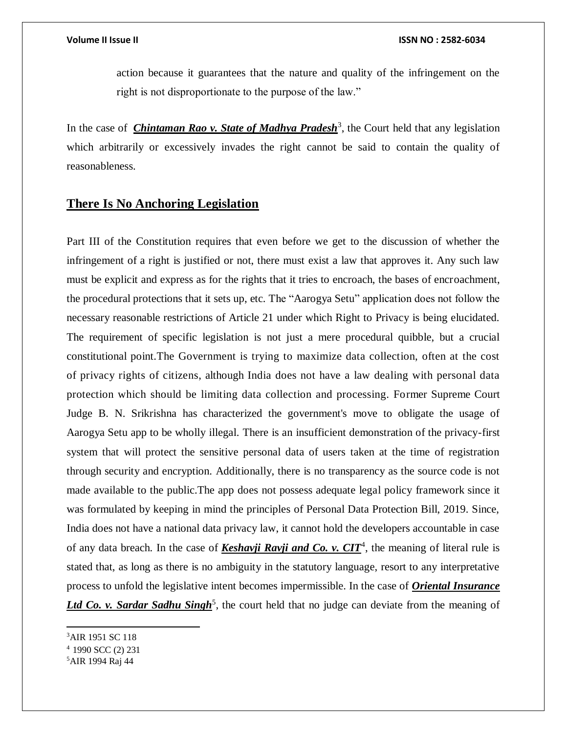action because it guarantees that the nature and quality of the infringement on the right is not disproportionate to the purpose of the law."

In the case of *[Chintaman Rao v. State of Madhya Pradesh](https://indiankanoon.org/doc/1217564/)*<sup>3</sup>, the Court held that any legislation which arbitrarily or excessively invades the right cannot be said to contain the quality of reasonableness.

# **There Is No Anchoring Legislation**

Part III of the Constitution requires that even before we get to the discussion of whether the infringement of a right is justified or not, there must exist a law that approves it. Any such law must be explicit and express as for the rights that it tries to encroach, the bases of encroachment, the procedural protections that it sets up, etc. The "Aarogya Setu" application does not follow the necessary reasonable restrictions of Article 21 under which Right to Privacy is being elucidated. The requirement of specific legislation is not just a mere procedural quibble, but a crucial constitutional point.The Government is trying to maximize data collection, often at the cost of privacy rights of citizens, although India does not have a law dealing with personal data protection which should be limiting data collection and processing. Former Supreme Court Judge B. N. Srikrishna has characterized the government's move to obligate the usage of Aarogya Setu app to be wholly illegal. There is an insufficient demonstration of the privacy-first system that will protect the sensitive personal data of users taken at the time of registration through security and encryption. Additionally, there is no transparency as the source code is not made available to the public.The app does not possess adequate legal policy framework since it was formulated by keeping in mind the principles of Personal Data Protection Bill, 2019. Since, India does not have a national data privacy law, it cannot hold the developers accountable in case of any data breach. In the case of **Keshavji Ravji and Co. v. CIT<sup>4</sup>**, the meaning of literal rule is stated that, as long as there is no ambiguity in the statutory language, resort to any interpretative process to unfold the legislative intent becomes impermissible. In the case of *Oriental Insurance*  Ltd Co. v. Sardar Sadhu Singh<sup>5</sup>, the court held that no judge can deviate from the meaning of

 $\overline{a}$ 

<sup>3</sup>AIR 1951 SC 118

<sup>4</sup> 1990 SCC (2) 231

<sup>5</sup>AIR 1994 Raj 44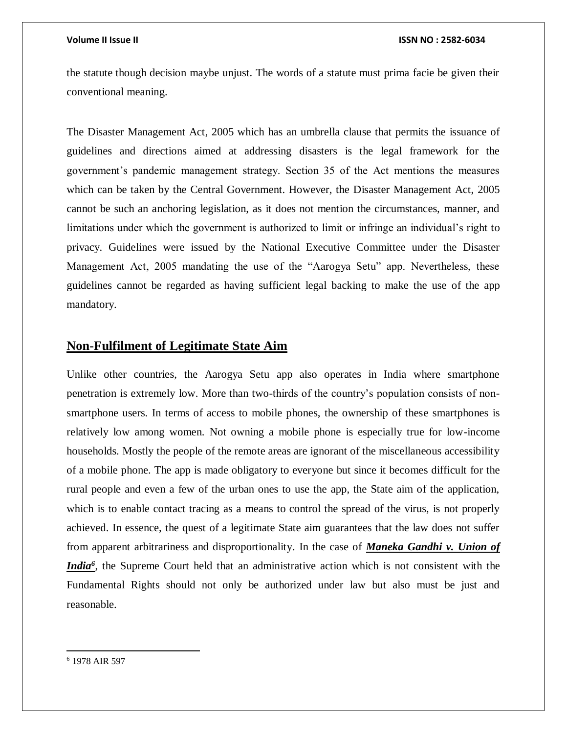### **Volume II Issue II ISSN NO : 2582-6034**

the statute though decision maybe unjust. The words of a statute must prima facie be given their conventional meaning.

The Disaster Management Act, 2005 which has an umbrella clause that permits the issuance of guidelines and directions aimed at addressing disasters is the legal framework for the government's pandemic management strategy. Section 35 of the Act mentions the measures which can be taken by the Central Government. However, the Disaster Management Act, 2005 cannot be such an anchoring legislation, as it does not mention the circumstances, manner, and limitations under which the government is authorized to limit or infringe an individual's right to privacy. Guidelines were issued by the National Executive Committee under the Disaster Management Act, 2005 mandating the use of the "Aarogya Setu" app. Nevertheless, these guidelines cannot be regarded as having sufficient legal backing to make the use of the app mandatory.

### **Non-Fulfilment of Legitimate State Aim**

Unlike other countries, the Aarogya Setu app also operates in India where smartphone penetration is extremely low. More than two-thirds of the country's population consists of nonsmartphone users. In terms of access to mobile phones, the ownership of these smartphones is relatively low among women. Not owning a mobile phone is especially true for low-income households. Mostly the people of the remote areas are ignorant of the miscellaneous accessibility of a mobile phone. The app is made obligatory to everyone but since it becomes difficult for the rural people and even a few of the urban ones to use the app, the State aim of the application, which is to enable contact tracing as a means to control the spread of the virus, is not properly achieved. In essence, the quest of a legitimate State aim guarantees that the law does not suffer from apparent arbitrariness and disproportionality. In the case of *Maneka Gandhi v. Union of India<sup>6</sup>* , the Supreme Court held that an administrative action which is not consistent with the Fundamental Rights should not only be authorized under law but also must be just and reasonable.

 $\overline{a}$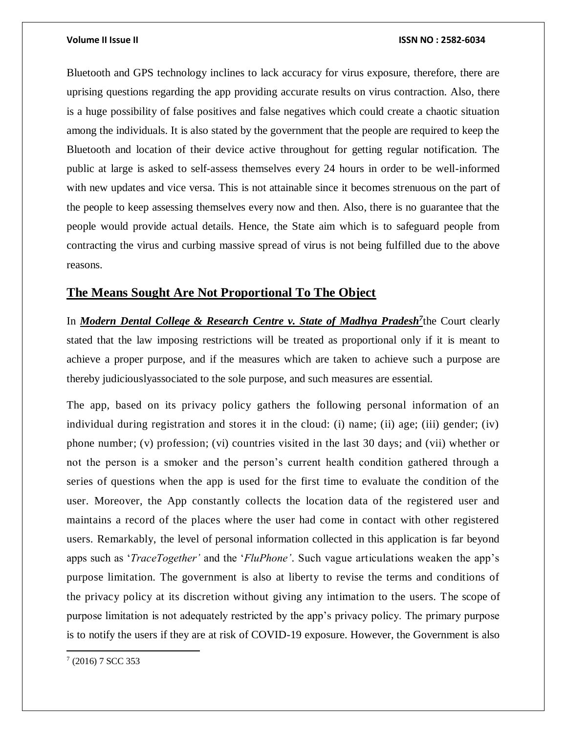### **Volume II Issue II ISSN NO : 2582-6034**

Bluetooth and GPS technology inclines to lack accuracy for virus exposure, therefore, there are uprising questions regarding the app providing accurate results on virus contraction. Also, there is a huge possibility of false positives and false negatives which could create a chaotic situation among the individuals. It is also stated by the government that the people are required to keep the Bluetooth and location of their device active throughout for getting regular notification. The public at large is asked to self-assess themselves every 24 hours in order to be well-informed with new updates and vice versa. This is not attainable since it becomes strenuous on the part of the people to keep assessing themselves every now and then. Also, there is no guarantee that the people would provide actual details. Hence, the State aim which is to safeguard people from contracting the virus and curbing massive spread of virus is not being fulfilled due to the above reasons.

### **The Means Sought Are Not Proportional To The Object**

In *[Modern Dental College & Research Centre v. State of Madhya Pr](https://indiankanoon.org/doc/99335142/)adesh<sup>7</sup>* the Court clearly stated that the law imposing restrictions will be treated as proportional only if it is meant to achieve a proper purpose, and if the measures which are taken to achieve such a purpose are thereby judiciouslyassociated to the sole purpose, and such measures are essential.

The app, based on its privacy policy gathers the following personal information of an individual during registration and stores it in the cloud: (i) name; (ii) age; (iii) gender; (iv) phone number; (v) profession; (vi) countries visited in the last 30 days; and (vii) whether or not the person is a smoker and the person's current health condition gathered through a series of questions when the app is used for the first time to evaluate the condition of the user. Moreover, the App constantly collects the location data of the registered user and maintains a record of the places where the user had come in contact with other registered users. Remarkably, the level of personal information collected in this application is far beyond apps such as '*TraceTogether'* and the '*FluPhone'*. Such vague articulations weaken the app's purpose limitation. The government is also at liberty to revise the terms and conditions of the privacy policy at its discretion without giving any intimation to the users. The scope of purpose limitation is not adequately restricted by the app's privacy policy. The primary purpose is to notify the users if they are at risk of COVID-19 exposure. However, the Government is also

 7 (2016) 7 SCC 353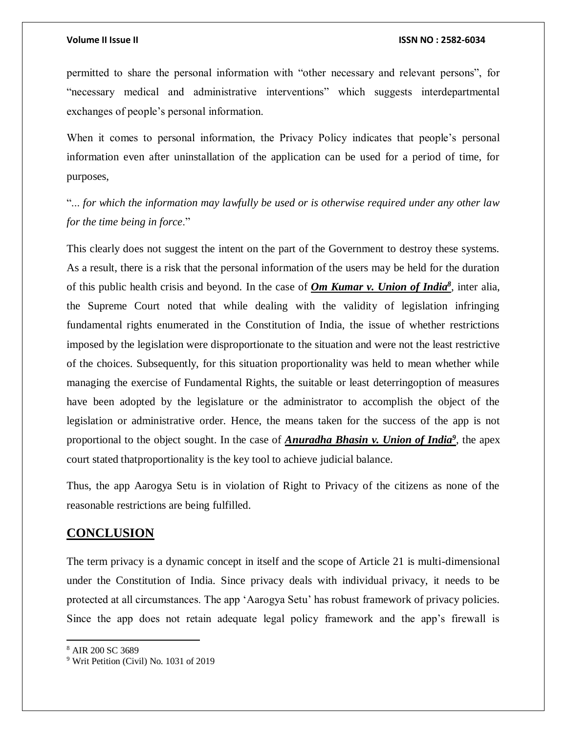permitted to share the personal information with "other necessary and relevant persons", for "necessary medical and administrative interventions" which suggests interdepartmental exchanges of people's personal information.

When it comes to personal information, the Privacy Policy indicates that people's personal information even after uninstallation of the application can be used for a period of time, for purposes,

"... *for which the information may lawfully be used or is otherwise required under any other law for the time being in force*."

This clearly does not suggest the intent on the part of the Government to destroy these systems. As a result, there is a risk that the personal information of the users may be held for the duration of this public health crisis and beyond. In the case of *Om Kumar v. Union of India<sup>8</sup>* , inter alia, the Supreme Court noted that while dealing with the validity of legislation infringing fundamental rights enumerated in the Constitution of India, the issue of whether restrictions imposed by the legislation were disproportionate to the situation and were not the least restrictive of the choices. Subsequently, for this situation proportionality was held to mean whether while managing the exercise of Fundamental Rights, the suitable or least deterringoption of measures have been adopted by the legislature or the administrator to accomplish the object of the legislation or administrative order. Hence, the means taken for the success of the app is not proportional to the object sought. In the case of *Anuradha Bhasin v. Union of India<sup>9</sup>* , the apex court stated thatproportionality is the key tool to achieve judicial balance.

Thus, the app Aarogya Setu is in violation of Right to Privacy of the citizens as none of the reasonable restrictions are being fulfilled.

### **CONCLUSION**

The term privacy is a dynamic concept in itself and the scope of Article 21 is multi-dimensional under the Constitution of India. Since privacy deals with individual privacy, it needs to be protected at all circumstances. The app 'Aarogya Setu' has robust framework of privacy policies. Since the app does not retain adequate legal policy framework and the app's firewall is

 $\overline{\phantom{a}}$ 

<sup>8</sup> AIR 200 SC 3689

<sup>9</sup> Writ Petition (Civil) No. 1031 of 2019